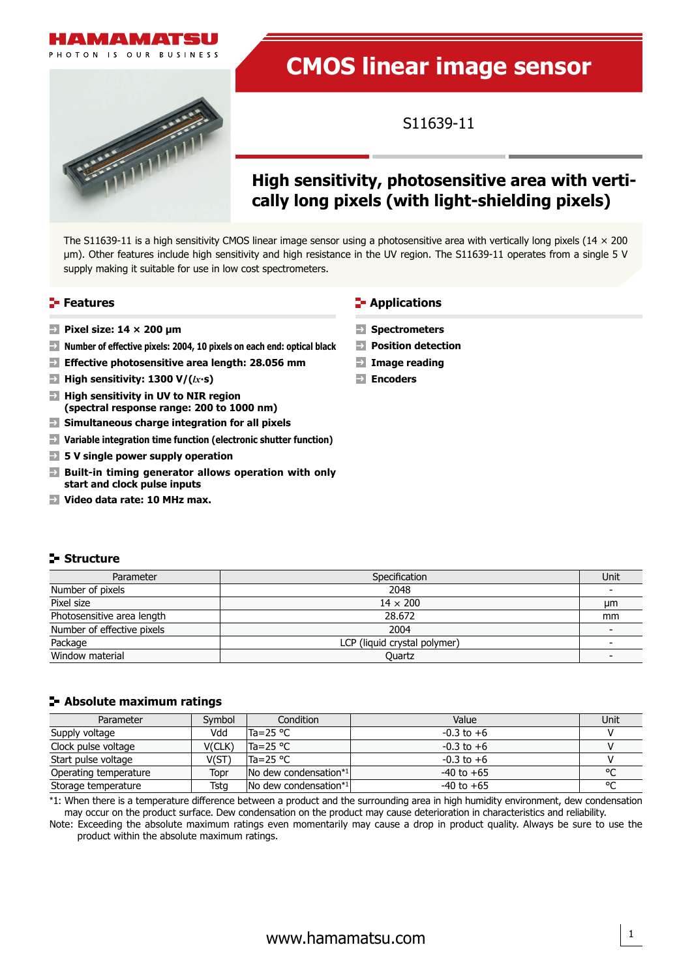# **MAMAT**

HOTON IS OUR BUSINESS

# **CMOS linear image sensor**

S11639-11

# **High sensitivity, photosensitive area with vertically long pixels (with light-shielding pixels)**

The S11639-11 is a high sensitivity CMOS linear image sensor using a photosensitive area with vertically long pixels ( $14 \times 200$ um). Other features include high sensitivity and high resistance in the UV region. The S11639-11 operates from a single 5 V supply making it suitable for use in low cost spectrometers.

- **Pixel size: 14 × 200 um**
- **Number of effective pixels: 2004, 10 pixels on each end: optical black Position detection**
- **Effective photosensitive area length: 28.056 mm Image reading**
- **High sensitivity: 1300 V/(** $lx$ **<b>·s) Encoders**
- **High sensitivity in UV to NIR region (spectral response range: 200 to 1000 nm)**
- **Simultaneous charge integration for all pixels**
- **Variable integration time function (electronic shutter function)**
- **5 V single power supply operation**
- **Built-in timing generator allows operation with only start and clock pulse inputs**
- **Video data rate: 10 MHz max.**

# **Features CONSIDERING CONSIDERING THE EXPLOSURE THE EXPLOSURE THE EXPLOSURE THE EXPLOSURE THE EXPLOSURE THE EXPLOSURE THE EXPLOSURE THE EXPLOSURE THE EXPLOSURE THE EXPLOSURE THE EXPLOSURE THE EXPLOSURE THE EXPLOSURE THE**

- **Spectrometers**
- 
- 
- 

# **Structure**

| Parameter                  | Specification                | Unit |
|----------------------------|------------------------------|------|
| Number of pixels           | 2048                         |      |
| Pixel size                 | $14 \times 200$              | μm   |
| Photosensitive area length | 28.672                       | mm   |
| Number of effective pixels | 2004                         |      |
| Package                    | LCP (liquid crystal polymer) |      |
| Window material            | Ouartz                       |      |

# **Absolute maximum ratings**

| Parameter             | Symbol | Condition                                 | Value          | Unit    |
|-----------------------|--------|-------------------------------------------|----------------|---------|
| Supply voltage        | Vdd    | $Ta = 25 °C$                              | $-0.3$ to $+6$ |         |
| Clock pulse voltage   | V(CLK) | $Ta = 25 °C$                              | $-0.3$ to $+6$ |         |
| Start pulse voltage   | V(ST)  | $Ta = 25 °C$                              | $-0.3$ to $+6$ |         |
| Operating temperature | Topr   | $\sqrt{N}$ dew condensation <sup>*1</sup> | $-40$ to $+65$ | $\circ$ |
| Storage temperature   | Tsta   | No dew condensation*1                     | $-40$ to $+65$ | $\sim$  |

\*1: When there is a temperature difference between a product and the surrounding area in high humidity environment, dew condensation may occur on the product surface. Dew condensation on the product may cause deterioration in characteristics and reliability.

Note: Exceeding the absolute maximum ratings even momentarily may cause a drop in product quality. Always be sure to use the product within the absolute maximum ratings.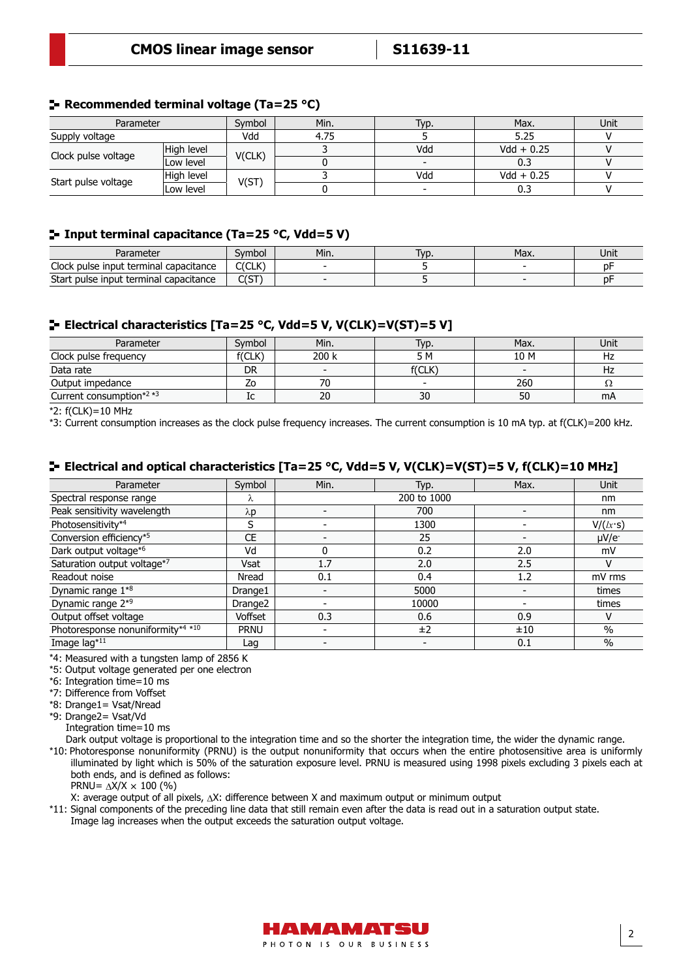# **Recommended terminal voltage (Ta=25 °C)**

| Parameter           |            | Symbol | Min. | Typ. | Max.         | Unit |
|---------------------|------------|--------|------|------|--------------|------|
| Supply voltage      |            | Vdd    | 4.75 |      | 5.25         |      |
| Clock pulse voltage | High level | V(CLK) |      | Vdd  | $Vdd + 0.25$ |      |
|                     | Low level  |        |      |      | 0.3          |      |
|                     | High level |        |      | Vdd  | $Vdd + 0.25$ |      |
| Start pulse voltage | Low level  | V(ST   |      |      | 0.3          |      |

# **Input terminal capacitance (Ta=25 °C, Vdd=5 V)**

| Parameter                                            | svmbol      | Min. | T <sub>VD</sub> . | Max. | Unit |
|------------------------------------------------------|-------------|------|-------------------|------|------|
| Clock pulse input terminal<br>capacitance            | C(CLK)      |      |                   |      | рŀ   |
| <b>Start</b><br>: pulse input terminal capacitance : | $\sim$<br>ິ |      |                   |      | Dŀ   |

# **Electrical characteristics [Ta=25 °C, Vdd=5 V, V(CLK)=V(ST)=5 V]**

| Parameter                                        | Svmbol | Min.                     | Typ.                     | Max.                     | Unit           |
|--------------------------------------------------|--------|--------------------------|--------------------------|--------------------------|----------------|
| Clock pulse frequency                            | f(CLK) | 200 k                    | 5 M                      | 10 M                     | H <sub>2</sub> |
| Data rate                                        | DR     | $\overline{\phantom{0}}$ | f(CLK)                   | $\overline{\phantom{0}}$ | Hz             |
| Output impedance                                 |        |                          | $\overline{\phantom{0}}$ | 260                      | 77             |
| Current consumption <sup><math>*2*3</math></sup> | TC     | 20                       | 30                       | 50                       | mA             |

\*2: f(CLK)=10 MHz

\*3: Current consumption increases as the clock pulse frequency increases. The current consumption is 10 mA typ. at f(CLK)=200 kHz.

# **Electrical and optical characteristics [Ta=25 °C, Vdd=5 V, V(CLK)=V(ST)=5 V, f(CLK)=10 MHz]**

| Parameter                         | Symbol              | Min. | Typ.        | Max. | Unit          |
|-----------------------------------|---------------------|------|-------------|------|---------------|
| Spectral response range           | Λ                   |      | 200 to 1000 |      | nm            |
| Peak sensitivity wavelength       | $\lambda p$         |      | 700         |      | nm            |
| Photosensitivity*4                |                     |      | 1300        |      | V/(lx·s)      |
| Conversion efficiency*5           | <b>CE</b>           |      | 25          |      | $\mu V/e^{-}$ |
| Dark output voltage*6             | Vd                  | 0    | 0.2         | 2.0  | mV            |
| Saturation output voltage*7       | Vsat                | 1.7  | 2.0         | 2.5  | v             |
| Readout noise                     | Nread               | 0.1  | 0.4         | 1.2  | mV rms        |
| Dynamic range $1*8$               | Drange1             |      | 5000        |      | times         |
| Dynamic range 2 <sup>*9</sup>     | Drange <sub>2</sub> |      | 10000       |      | times         |
| Output offset voltage             | Voffset             | 0.3  | 0.6         | 0.9  | ٧             |
| Photoresponse nonuniformity*4 *10 | <b>PRNU</b>         |      | ±2          | ±10  | $\frac{0}{0}$ |
| Image lag*11                      | Lag                 |      |             | 0.1  | $\%$          |

\*4: Measured with a tungsten lamp of 2856 K

\*5: Output voltage generated per one electron

\*6: Integration time=10 ms

\*7: Difference from Voffset

\*8: Drange1= Vsat/Nread

\*9: Drange2= Vsat/Vd Integration time=10 ms

Dark output voltage is proportional to the integration time and so the shorter the integration time, the wider the dynamic range.

\*10: Photoresponse nonuniformity (PRNU) is the output nonuniformity that occurs when the entire photosensitive area is uniformly illuminated by light which is 50% of the saturation exposure level. PRNU is measured using 1998 pixels excluding 3 pixels each at both ends, and is defined as follows:

PRNU=  $\Delta X/X \times 100$  (%)

X: average output of all pixels, ∆X: difference between X and maximum output or minimum output

\*11: Signal components of the preceding line data that still remain even after the data is read out in a saturation output state. Image lag increases when the output exceeds the saturation output voltage.

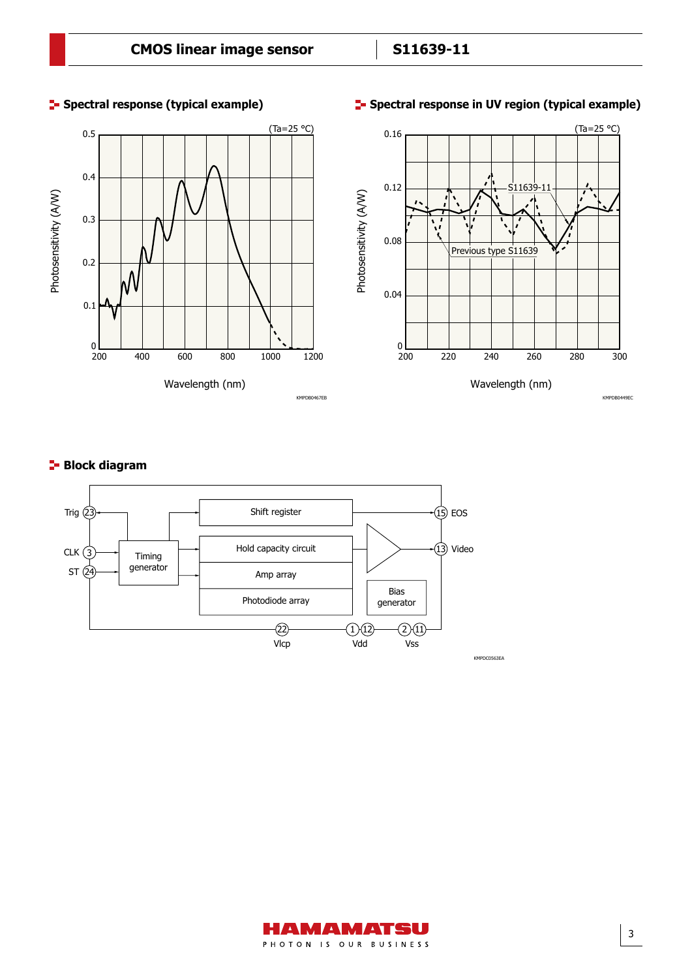

# **Spectral response (typical example) Spectral response in UV region (typical example)**

# **Block diagram**



AMAMATSU PHOTON IS OUR BUSINESS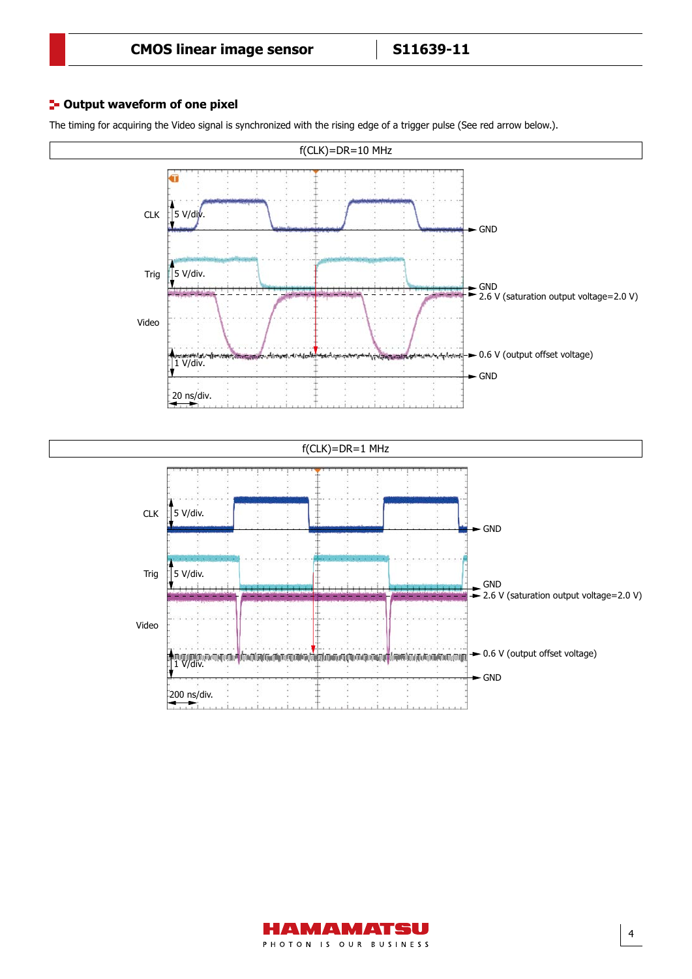# **<sup>1</sup>- Output waveform of one pixel**

The timing for acquiring the Video signal is synchronized with the rising edge of a trigger pulse (See red arrow below.).



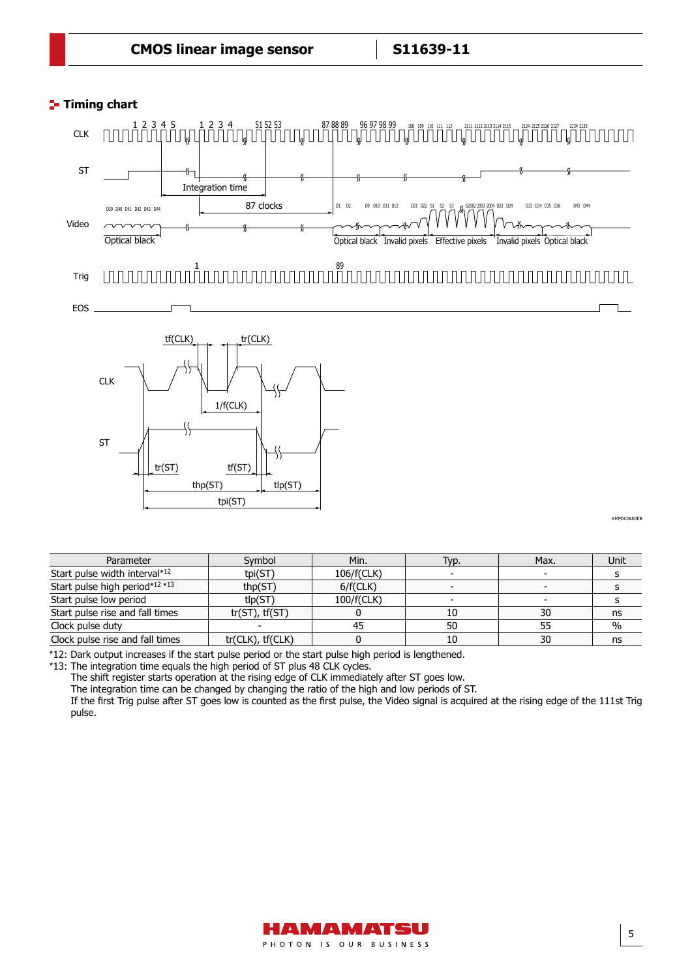# **Timing chart** Timing chart



# Trig 1 89





**CMPDC0600EB** 

| Parameter                       | Symbol                | Min.       | Typ. | Max. | Unit |
|---------------------------------|-----------------------|------------|------|------|------|
| Start pulse width interval*12   | tpi(ST)               | 106/f(CLK) |      |      |      |
| Start pulse high period*12 *13  | thp(ST)               | 6/f(CLK)   |      |      |      |
| Start pulse low period          | tlp(ST)               | 100/f(CLK) |      |      |      |
| Start pulse rise and fall times | $tr(ST)$ , $tf(ST)$   |            | 10   | 30   | ns   |
| Clock pulse duty                |                       |            | 50   | 55   | $\%$ |
| Clock pulse rise and fall times | $tr(CLK)$ , $tf(CLK)$ |            | 10   | 30   | ns   |

\*12: Dark output increases if the start pulse period or the start pulse high period is lengthened.

\*13: The integration time equals the high period of ST plus 48 CLK cycles.

The shift register starts operation at the rising edge of CLK immediately after ST goes low.

The integration time can be changed by changing the ratio of the high and low periods of ST.

If the first Trig pulse after ST goes low is counted as the first pulse, the Video signal is acquired at the rising edge of the 111st Trig pulse.

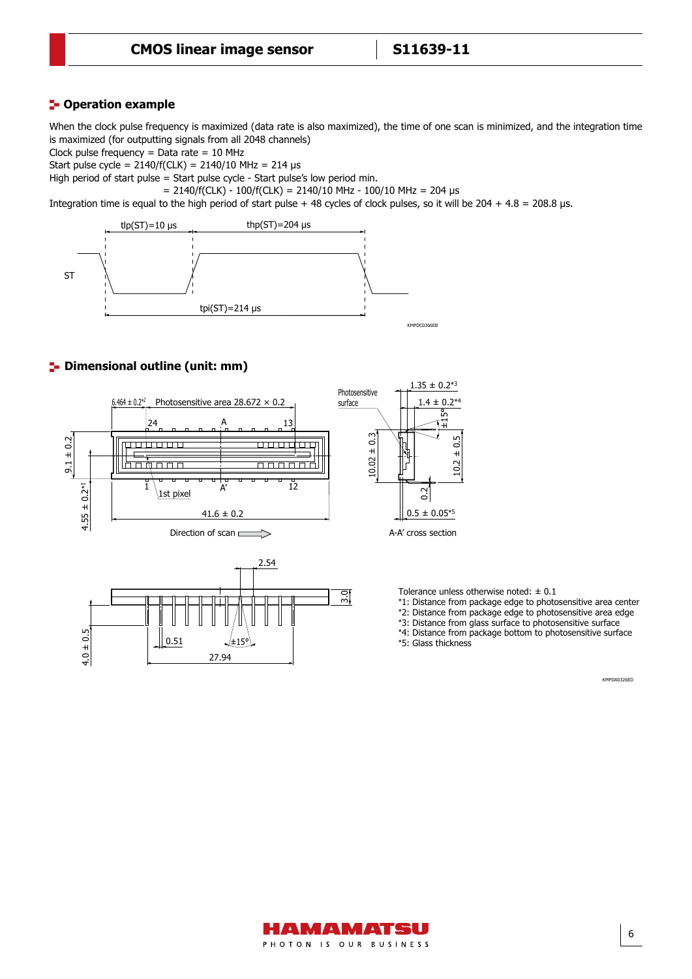# **Poperation example**

When the clock pulse frequency is maximized (data rate is also maximized), the time of one scan is minimized, and the integration time is maximized (for outputting signals from all 2048 channels)

Clock pulse frequency  $=$  Data rate  $=$  10 MHz

Start pulse cycle =  $2140/f(CLK) = 2140/10 MHz = 214 \text{ }\mu\text{s}$ 

High period of start pulse = Start pulse cycle - Start pulse's low period min.

 $= 2140/f(CLK) - 100/f(CLK) = 2140/10 MHz - 100/10 MHz = 204 \text{ }\mu\text{s}$ 

Integration time is equal to the high period of start pulse + 48 cycles of clock pulses, so it will be  $204 + 4.8 = 208.8$  µs.



# **P**- Dimensional outline (unit: mm)





Tolerance unless otherwise noted:  $\pm$  0.1

- \*1: Distance from package edge to photosensitive area center
- \*2: Distance from package edge to photosensitive area edge
- \*3: Distance from glass surface to photosensitive surface

\*4: Distance from package bottom to photosensitive surface \*5: Glass thickness

KMPDA0326ED

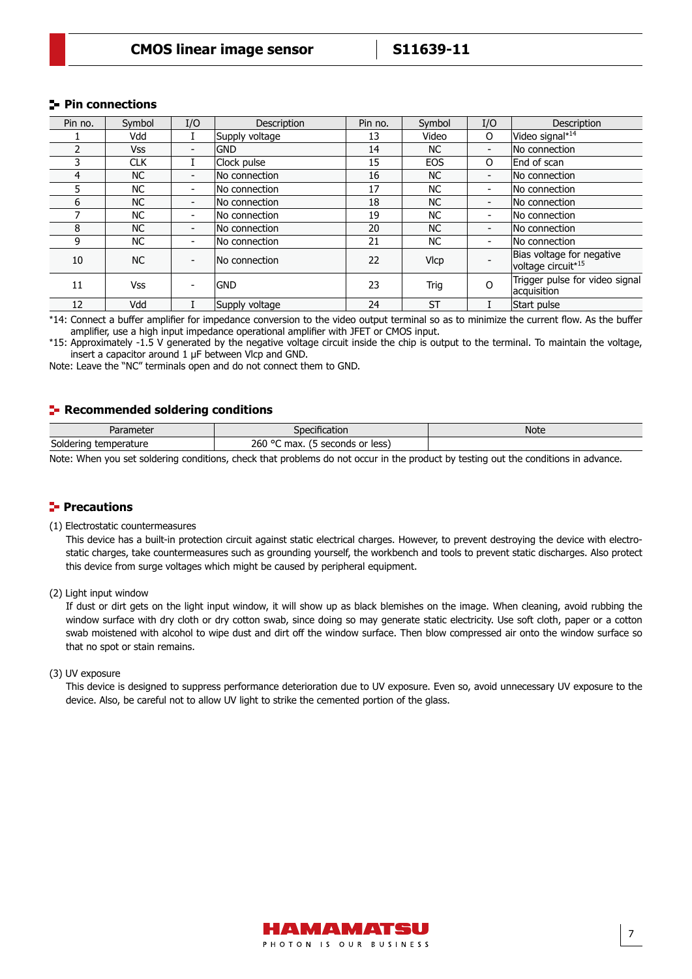# **Pin connections**

| Pin no. | Symbol     | I/O                      | Description    | Pin no. | Symbol      | I/O                      | <b>Description</b>                                          |
|---------|------------|--------------------------|----------------|---------|-------------|--------------------------|-------------------------------------------------------------|
|         | Vdd        |                          | Supply voltage | 13      | Video       | 0                        | Video signal* <sup>14</sup>                                 |
|         | Vss        | -                        | <b>GND</b>     | 14      | <b>NC</b>   | $\overline{\phantom{a}}$ | No connection                                               |
| 3       | <b>CLK</b> |                          | Clock pulse    | 15      | <b>EOS</b>  | O                        | End of scan                                                 |
| 4       | NC.        | $\overline{\phantom{0}}$ | No connection  | 16      | <b>NC</b>   | $\blacksquare$           | No connection                                               |
|         | NC.        | $\overline{\phantom{0}}$ | No connection  | 17      | <b>NC</b>   | $\overline{\phantom{a}}$ | No connection                                               |
| 6       | NC.        | $\overline{\phantom{0}}$ | No connection  | 18      | <b>NC</b>   | $\overline{\phantom{a}}$ | No connection                                               |
|         | NC.        | $\overline{\phantom{0}}$ | No connection  | 19      | <b>NC</b>   | $\blacksquare$           | No connection                                               |
| 8       | NC.        | -                        | No connection  | 20      | <b>NC</b>   | $\overline{\phantom{a}}$ | No connection                                               |
| 9       | NC.        | $\overline{\phantom{0}}$ | No connection  | 21      | <b>NC</b>   | $\blacksquare$           | No connection                                               |
| 10      | <b>NC</b>  | -                        | No connection  | 22      | <b>VIcp</b> |                          | Bias voltage for negative<br>voltage circuit* <sup>15</sup> |
| 11      | <b>Vss</b> |                          | <b>GND</b>     | 23      | Trig        | $\Omega$                 | Trigger pulse for video signal<br>acquisition               |
| 12      | Vdd        |                          | Supply voltage | 24      | <b>ST</b>   |                          | Start pulse                                                 |

\*14: Connect a buffer amplifier for impedance conversion to the video output terminal so as to minimize the current flow. As the buffer amplifier, use a high input impedance operational amplifier with JFET or CMOS input.

\*15: Approximately -1.5 V generated by the negative voltage circuit inside the chip is output to the terminal. To maintain the voltage, insert a capacitor around 1 μF between Vlcp and GND.

Note: Leave the "NC" terminals open and do not connect them to GND.

# **Recommended soldering conditions**

| Parameter                | Specification                           | <b>Note</b> |
|--------------------------|-----------------------------------------|-------------|
| Soldering<br>temperature | 260 °C<br>seconds or less)<br>max.<br>∼ |             |

Note: When you set soldering conditions, check that problems do not occur in the product by testing out the conditions in advance.

# **Precautions**

### (1) Electrostatic countermeasures

This device has a built-in protection circuit against static electrical charges. However, to prevent destroying the device with electrostatic charges, take countermeasures such as grounding yourself, the workbench and tools to prevent static discharges. Also protect this device from surge voltages which might be caused by peripheral equipment.

(2) Light input window

If dust or dirt gets on the light input window, it will show up as black blemishes on the image. When cleaning, avoid rubbing the window surface with dry cloth or dry cotton swab, since doing so may generate static electricity. Use soft cloth, paper or a cotton swab moistened with alcohol to wipe dust and dirt off the window surface. Then blow compressed air onto the window surface so that no spot or stain remains.

## (3) UV exposure

This device is designed to suppress performance deterioration due to UV exposure. Even so, avoid unnecessary UV exposure to the device. Also, be careful not to allow UV light to strike the cemented portion of the glass.

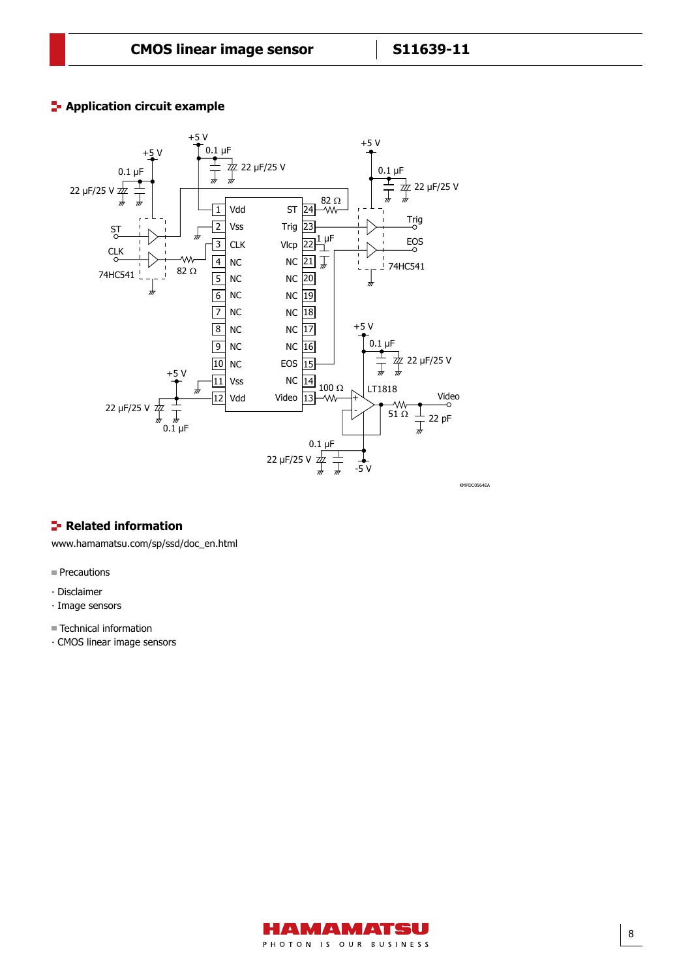# **Application circuit example**



# **Related information**

[www.hamamatsu.com/sp/ssd/doc\\_en.html](http://www.hamamatsu.com/sp/ssd/doc_en.html)

- Precautions
- ∙ Disclaimer
- ∙ Image sensors
- Technical information
- ⸱ CMOS linear image sensors